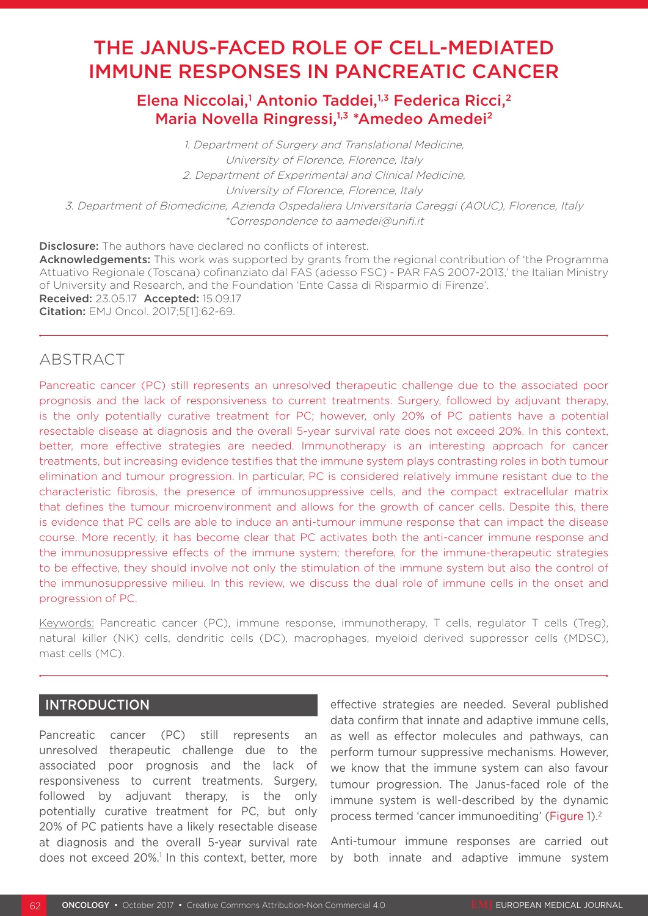# THE JANUS-FACED ROLE OF CELL-MEDIATED IMMUNE RESPONSES IN PANCREATIC CANCER

Elena Niccolai,<sup>1</sup> Antonio Taddei,<sup>1,3</sup> Federica Ricci,<sup>2</sup> Maria Novella Ringressi,<sup>1,3</sup> \*Amedeo Amedei<sup>2</sup>

1. Department of Surgery and Translational Medicine, University of Florence, Florence, Italy 2. Department of Experimental and Clinical Medicine, University of Florence, Florence, Italy 3. Department of Biomedicine, Azienda Ospedaliera Universitaria Careggi (AOUC), Florence, Italy \*Correspondence to aamedei@unifi.it

**Disclosure:** The authors have declared no conflicts of interest. Acknowledgements: This work was supported by grants from the regional contribution of 'the Programma Attuativo Regionale (Toscana) cofinanziato dal FAS (adesso FSC) - PAR FAS 2007-2013,' the Italian Ministry of University and Research, and the Foundation 'Ente Cassa di Risparmio di Firenze'. Received: 23.05.17 Accepted: 15.09.17 Citation: EMJ Oncol. 2017;5[1]:62-69.

## ABSTRACT

Pancreatic cancer (PC) still represents an unresolved therapeutic challenge due to the associated poor prognosis and the lack of responsiveness to current treatments. Surgery, followed by adjuvant therapy, is the only potentially curative treatment for PC; however, only 20% of PC patients have a potential resectable disease at diagnosis and the overall 5-year survival rate does not exceed 20%. In this context, better, more effective strategies are needed. Immunotherapy is an interesting approach for cancer treatments, but increasing evidence testifies that the immune system plays contrasting roles in both tumour elimination and tumour progression. In particular, PC is considered relatively immune resistant due to the characteristic fibrosis, the presence of immunosuppressive cells, and the compact extracellular matrix that defines the tumour microenvironment and allows for the growth of cancer cells. Despite this, there is evidence that PC cells are able to induce an anti-tumour immune response that can impact the disease course. More recently, it has become clear that PC activates both the anti-cancer immune response and the immunosuppressive effects of the immune system; therefore, for the immune-therapeutic strategies to be effective, they should involve not only the stimulation of the immune system but also the control of the immunosuppressive milieu. In this review, we discuss the dual role of immune cells in the onset and progression of PC.

Keywords: Pancreatic cancer (PC), immune response, immunotherapy, T cells, regulator T cells (Treg), natural killer (NK) cells, dendritic cells (DC), macrophages, myeloid derived suppressor cells (MDSC), mast cells (MC).

### INTRODUCTION

Pancreatic cancer (PC) still represents an unresolved therapeutic challenge due to the associated poor prognosis and the lack of responsiveness to current treatments. Surgery, followed by adjuvant therapy, is the only potentially curative treatment for PC, but only 20% of PC patients have a likely resectable disease at diagnosis and the overall 5-year survival rate does not exceed 20%.<sup>1</sup> In this context, better, more

effective strategies are needed. Several published data confirm that innate and adaptive immune cells, as well as effector molecules and pathways, can perform tumour suppressive mechanisms. However, we know that the immune system can also favour tumour progression. The Janus-faced role of the immune system is well-described by the dynamic process termed 'cancer immunoediting' (Figure 1).2

Anti-tumour immune responses are carried out by both innate and adaptive immune system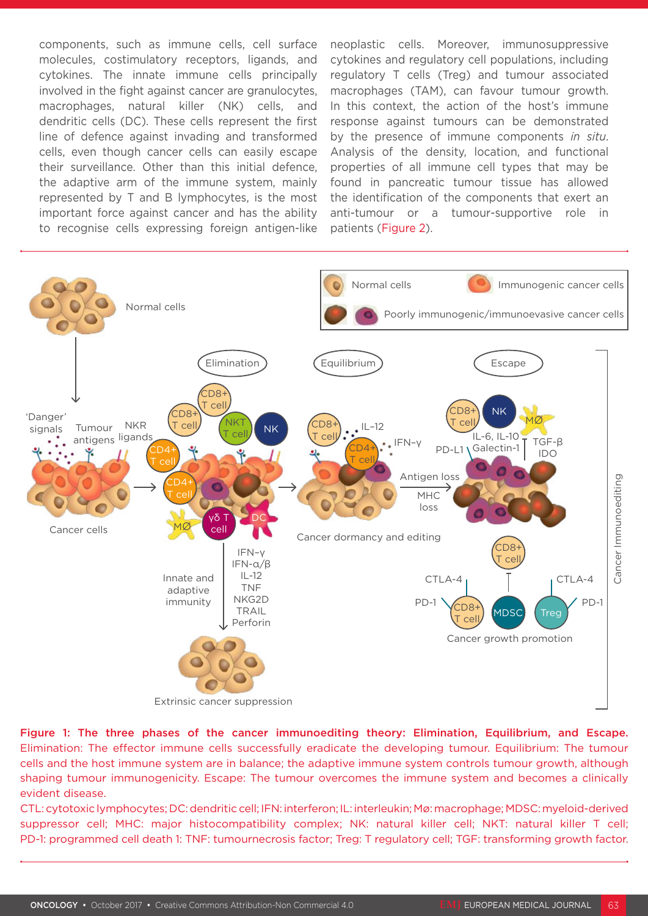components, such as immune cells, cell surface molecules, costimulatory receptors, ligands, and cytokines. The innate immune cells principally involved in the fight against cancer are granulocytes, macrophages, natural killer (NK) cells, and dendritic cells (DC). These cells represent the first line of defence against invading and transformed cells, even though cancer cells can easily escape their surveillance. Other than this initial defence, the adaptive arm of the immune system, mainly represented by T and B lymphocytes, is the most important force against cancer and has the ability to recognise cells expressing foreign antigen-like

neoplastic cells. Moreover, immunosuppressive cytokines and regulatory cell populations, including regulatory T cells (Treg) and tumour associated macrophages (TAM), can favour tumour growth. In this context, the action of the host's immune response against tumours can be demonstrated by the presence of immune components *in situ*. Analysis of the density, location, and functional properties of all immune cell types that may be found in pancreatic tumour tissue has allowed the identification of the components that exert an anti-tumour or a tumour-supportive role in patients (Figure 2).



Figure 1: The three phases of the cancer immunoediting theory: Elimination, Equilibrium, and Escape. Elimination: The effector immune cells successfully eradicate the developing tumour. Equilibrium: The tumour cells and the host immune system are in balance; the adaptive immune system controls tumour growth, although shaping tumour immunogenicity. Escape: The tumour overcomes the immune system and becomes a clinically evident disease.

CTL: cytotoxic lymphocytes; DC: dendritic cell; IFN: interferon; IL: interleukin; Mø: macrophage; MDSC: myeloid-derived suppressor cell; MHC: major histocompatibility complex; NK: natural killer cell; NKT: natural killer T cell; PD-1: programmed cell death 1: TNF: tumournecrosis factor; Treg: T regulatory cell; TGF: transforming growth factor.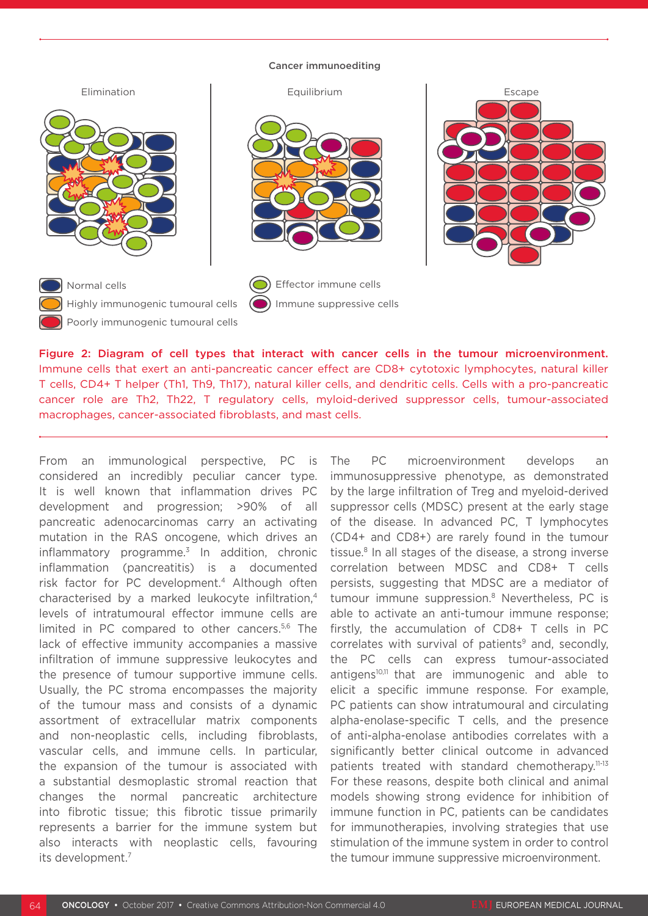#### Cancer immunoediting



Figure 2: Diagram of cell types that interact with cancer cells in the tumour microenvironment. Immune cells that exert an anti-pancreatic cancer effect are CD8+ cytotoxic lymphocytes, natural killer T cells, CD4+ T helper (Th1, Th9, Th17), natural killer cells, and dendritic cells. Cells with a pro-pancreatic cancer role are Th2, Th22, T regulatory cells, myloid-derived suppressor cells, tumour-associated macrophages, cancer-associated fibroblasts, and mast cells.

From an immunological perspective, PC is considered an incredibly peculiar cancer type. It is well known that inflammation drives PC development and progression; >90% of all pancreatic adenocarcinomas carry an activating mutation in the RAS oncogene, which drives an inflammatory programme. $3$  In addition, chronic inflammation (pancreatitis) is a documented risk factor for PC development.4 Although often characterised by a marked leukocyte infiltration,4 levels of intratumoural effector immune cells are limited in PC compared to other cancers.<sup>5,6</sup> The lack of effective immunity accompanies a massive infiltration of immune suppressive leukocytes and the presence of tumour supportive immune cells. Usually, the PC stroma encompasses the majority of the tumour mass and consists of a dynamic assortment of extracellular matrix components and non-neoplastic cells, including fibroblasts, vascular cells, and immune cells. In particular, the expansion of the tumour is associated with a substantial desmoplastic stromal reaction that changes the normal pancreatic architecture into fibrotic tissue; this fibrotic tissue primarily represents a barrier for the immune system but also interacts with neoplastic cells, favouring its development.7

The PC microenvironment develops an immunosuppressive phenotype, as demonstrated by the large infiltration of Treg and myeloid-derived suppressor cells (MDSC) present at the early stage of the disease. In advanced PC, T lymphocytes (CD4+ and CD8+) are rarely found in the tumour tissue.8 In all stages of the disease, a strong inverse correlation between MDSC and CD8+ T cells persists, suggesting that MDSC are a mediator of tumour immune suppression.8 Nevertheless, PC is able to activate an anti-tumour immune response; firstly, the accumulation of CD8+ T cells in PC correlates with survival of patients $9$  and, secondly, the PC cells can express tumour-associated antigens<sup>10,11</sup> that are immunogenic and able to elicit a specific immune response. For example, PC patients can show intratumoural and circulating alpha-enolase-specific T cells, and the presence of anti-alpha-enolase antibodies correlates with a significantly better clinical outcome in advanced patients treated with standard chemotherapy.11-13 For these reasons, despite both clinical and animal models showing strong evidence for inhibition of immune function in PC, patients can be candidates for immunotherapies, involving strategies that use stimulation of the immune system in order to control the tumour immune suppressive microenvironment.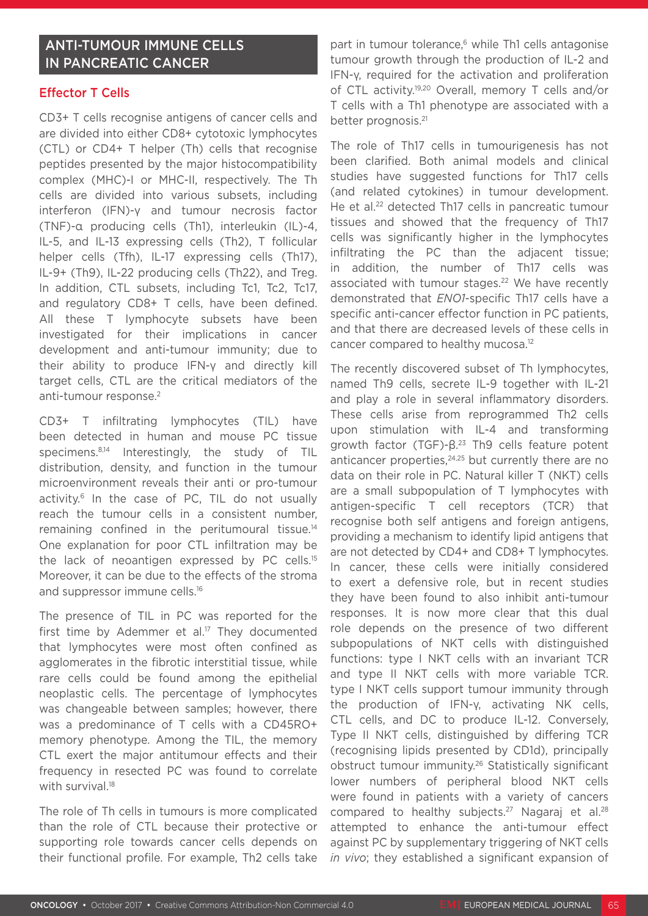### ANTI-TUMOUR IMMUNE CELLS IN PANCREATIC CANCER

### Effector T Cells

CD3+ T cells recognise antigens of cancer cells and are divided into either CD8+ cytotoxic lymphocytes (CTL) or CD4+ T helper (Th) cells that recognise peptides presented by the major histocompatibility complex (MHC)-I or MHC-II, respectively. The Th cells are divided into various subsets, including interferon (IFN)-γ and tumour necrosis factor (TNF)-α producing cells (Th1), interleukin (IL)-4, IL-5, and IL-13 expressing cells (Th2), T follicular helper cells (Tfh), IL-17 expressing cells (Th17), IL-9+ (Th9), IL-22 producing cells (Th22), and Treg. In addition, CTL subsets, including Tc1, Tc2, Tc17, and regulatory CD8+ T cells, have been defined. All these T lymphocyte subsets have been investigated for their implications in cancer development and anti-tumour immunity; due to their ability to produce IFN-γ and directly kill target cells, CTL are the critical mediators of the anti-tumour response.<sup>2</sup>

CD3+ T infiltrating lymphocytes (TIL) have been detected in human and mouse PC tissue specimens.<sup>8,14</sup> Interestingly, the study of TIL distribution, density, and function in the tumour microenvironment reveals their anti or pro-tumour activity.<sup>6</sup> In the case of PC. TIL do not usually reach the tumour cells in a consistent number, remaining confined in the peritumoural tissue.14 One explanation for poor CTL infiltration may be the lack of neoantigen expressed by PC cells.15 Moreover, it can be due to the effects of the stroma and suppressor immune cells.16

The presence of TIL in PC was reported for the first time by Ademmer et al. $17$  They documented that lymphocytes were most often confined as agglomerates in the fibrotic interstitial tissue, while rare cells could be found among the epithelial neoplastic cells. The percentage of lymphocytes was changeable between samples; however, there was a predominance of T cells with a CD45RO+ memory phenotype. Among the TIL, the memory CTL exert the major antitumour effects and their frequency in resected PC was found to correlate with survival.<sup>18</sup>

The role of Th cells in tumours is more complicated than the role of CTL because their protective or supporting role towards cancer cells depends on their functional profile. For example, Th2 cells take

part in tumour tolerance,<sup>6</sup> while Th1 cells antagonise tumour growth through the production of IL-2 and IFN-γ, required for the activation and proliferation of CTL activity.19,20 Overall, memory T cells and/or T cells with a Th1 phenotype are associated with a better prognosis.<sup>21</sup>

The role of Th17 cells in tumourigenesis has not been clarified. Both animal models and clinical studies have suggested functions for Th17 cells (and related cytokines) in tumour development. He et al.<sup>22</sup> detected Th17 cells in pancreatic tumour tissues and showed that the frequency of Th17 cells was significantly higher in the lymphocytes infiltrating the PC than the adjacent tissue; in addition, the number of Th17 cells was associated with tumour stages.<sup>22</sup> We have recently demonstrated that *ENO1*-specific Th17 cells have a specific anti-cancer effector function in PC patients, and that there are decreased levels of these cells in cancer compared to healthy mucosa.12

The recently discovered subset of Th lymphocytes, named Th9 cells, secrete IL-9 together with IL-21 and play a role in several inflammatory disorders. These cells arise from reprogrammed Th2 cells upon stimulation with IL-4 and transforming growth factor (TGF)-β.23 Th9 cells feature potent anticancer properties, $24,25$  but currently there are no data on their role in PC. Natural killer T (NKT) cells are a small subpopulation of T lymphocytes with antigen-specific T cell receptors (TCR) that recognise both self antigens and foreign antigens, providing a mechanism to identify lipid antigens that are not detected by CD4+ and CD8+ T lymphocytes. In cancer, these cells were initially considered to exert a defensive role, but in recent studies they have been found to also inhibit anti-tumour responses. It is now more clear that this dual role depends on the presence of two different subpopulations of NKT cells with distinguished functions: type I NKT cells with an invariant TCR and type II NKT cells with more variable TCR. type I NKT cells support tumour immunity through the production of IFN-γ, activating NK cells, CTL cells, and DC to produce IL-12. Conversely, Type II NKT cells, distinguished by differing TCR (recognising lipids presented by CD1d), principally obstruct tumour immunity.26 Statistically significant lower numbers of peripheral blood NKT cells were found in patients with a variety of cancers compared to healthy subjects.<sup>27</sup> Nagaraj et al.<sup>28</sup> attempted to enhance the anti-tumour effect against PC by supplementary triggering of NKT cells *in vivo*; they established a significant expansion of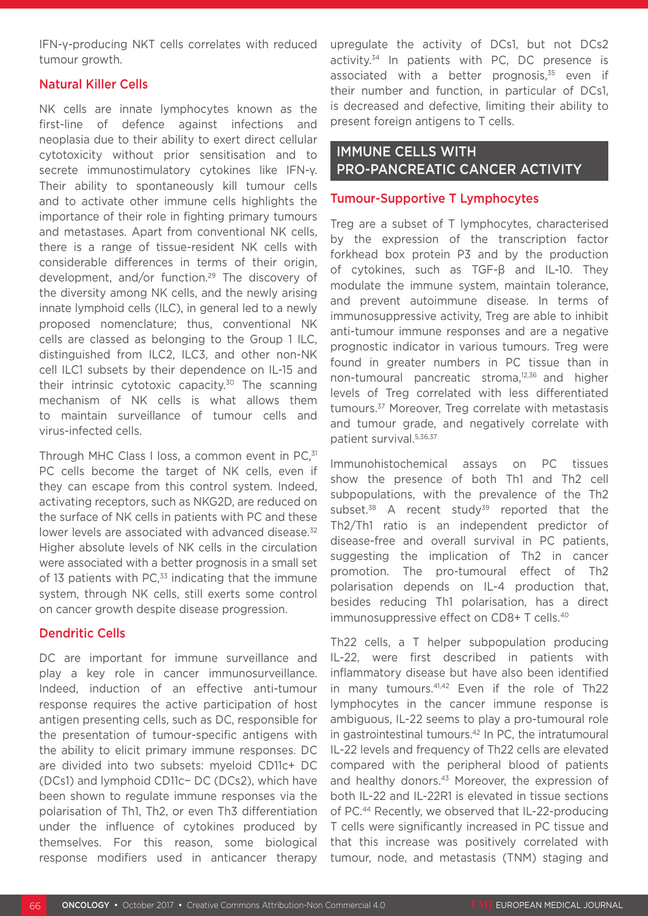IFN-γ-producing NKT cells correlates with reduced tumour growth.

### Natural Killer Cells

NK cells are innate lymphocytes known as the first-line of defence against infections and neoplasia due to their ability to exert direct cellular cytotoxicity without prior sensitisation and to secrete immunostimulatory cytokines like IFN-γ. Their ability to spontaneously kill tumour cells and to activate other immune cells highlights the importance of their role in fighting primary tumours and metastases. Apart from conventional NK cells, there is a range of tissue-resident NK cells with considerable differences in terms of their origin, development, and/or function.29 The discovery of the diversity among NK cells, and the newly arising innate lymphoid cells (ILC), in general led to a newly proposed nomenclature; thus, conventional NK cells are classed as belonging to the Group 1 ILC, distinguished from ILC2, ILC3, and other non-NK cell ILC1 subsets by their dependence on IL-15 and their intrinsic cytotoxic capacity.30 The scanning mechanism of NK cells is what allows them to maintain surveillance of tumour cells and virus-infected cells.

Through MHC Class I loss, a common event in PC,<sup>31</sup> PC cells become the target of NK cells, even if they can escape from this control system. Indeed, activating receptors, such as NKG2D, are reduced on the surface of NK cells in patients with PC and these lower levels are associated with advanced disease.<sup>32</sup> Higher absolute levels of NK cells in the circulation were associated with a better prognosis in a small set of 13 patients with PC $,33$  indicating that the immune system, through NK cells, still exerts some control on cancer growth despite disease progression.

### Dendritic Cells

DC are important for immune surveillance and play a key role in cancer immunosurveillance. Indeed, induction of an effective anti-tumour response requires the active participation of host antigen presenting cells, such as DC, responsible for the presentation of tumour-specific antigens with the ability to elicit primary immune responses. DC are divided into two subsets: myeloid CD11c+ DC (DCs1) and lymphoid CD11c− DC (DCs2), which have been shown to regulate immune responses via the polarisation of Th1, Th2, or even Th3 differentiation under the influence of cytokines produced by themselves. For this reason, some biological response modifiers used in anticancer therapy

upregulate the activity of DCs1, but not DCs2 activity.<sup>34</sup> In patients with PC, DC presence is associated with a better prognosis, $35$  even if their number and function, in particular of DCs1, is decreased and defective, limiting their ability to present foreign antigens to T cells.

### IMMUNE CELLS WITH PRO-PANCREATIC CANCER ACTIVITY

### Tumour-Supportive T Lymphocytes

Treg are a subset of T lymphocytes, characterised by the expression of the transcription factor forkhead box protein P3 and by the production of cytokines, such as TGF-β and IL-10. They modulate the immune system, maintain tolerance, and prevent autoimmune disease. In terms of immunosuppressive activity, Treg are able to inhibit anti-tumour immune responses and are a negative prognostic indicator in various tumours. Treg were found in greater numbers in PC tissue than in non-tumoural pancreatic stroma,12,36 and higher levels of Treg correlated with less differentiated tumours.<sup>37</sup> Moreover, Treg correlate with metastasis and tumour grade, and negatively correlate with patient survival.<sup>5,36,37</sup>

Immunohistochemical assays on PC tissues show the presence of both Th1 and Th2 cell subpopulations, with the prevalence of the Th2 subset. $38$  A recent study<sup>39</sup> reported that the Th2/Th1 ratio is an independent predictor of disease-free and overall survival in PC patients, suggesting the implication of Th2 in cancer promotion. The pro-tumoural effect of Th2 polarisation depends on IL-4 production that, besides reducing Th1 polarisation, has a direct immunosuppressive effect on CD8+ T cells.<sup>40</sup>

Th22 cells, a T helper subpopulation producing IL-22, were first described in patients with inflammatory disease but have also been identified in many tumours.<sup>41,42</sup> Even if the role of Th22 lymphocytes in the cancer immune response is ambiguous, IL-22 seems to play a pro-tumoural role in gastrointestinal tumours.<sup>42</sup> In PC, the intratumoural IL-22 levels and frequency of Th22 cells are elevated compared with the peripheral blood of patients and healthy donors.<sup>43</sup> Moreover, the expression of both IL-22 and IL-22R1 is elevated in tissue sections of PC.44 Recently, we observed that IL-22-producing T cells were significantly increased in PC tissue and that this increase was positively correlated with tumour, node, and metastasis (TNM) staging and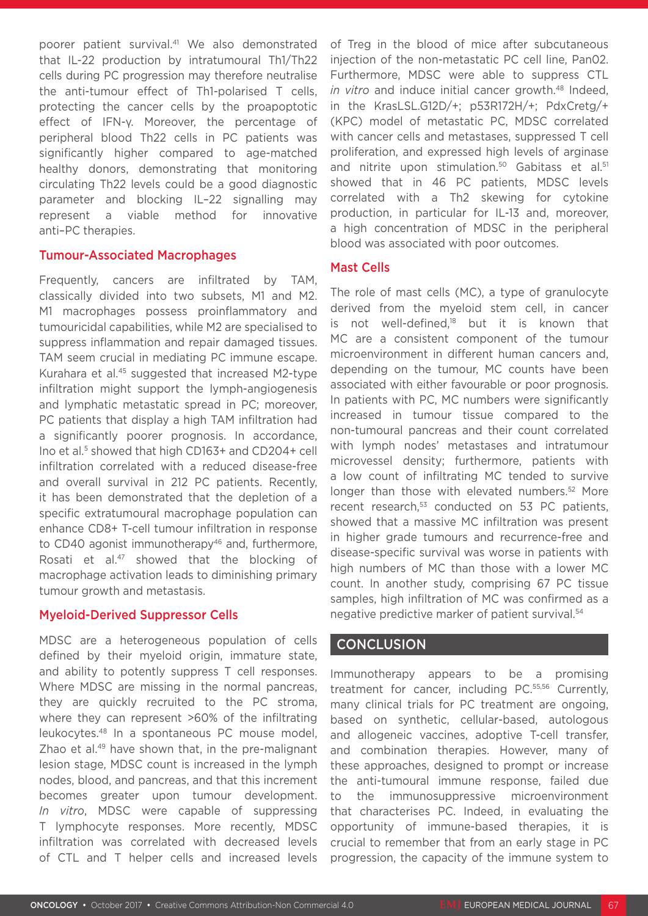poorer patient survival.41 We also demonstrated that IL-22 production by intratumoural Th1/Th22 cells during PC progression may therefore neutralise the anti-tumour effect of Th1-polarised T cells, protecting the cancer cells by the proapoptotic effect of IFN-γ. Moreover, the percentage of peripheral blood Th22 cells in PC patients was significantly higher compared to age-matched healthy donors, demonstrating that monitoring circulating Th22 levels could be a good diagnostic parameter and blocking IL–22 signalling may represent a viable method for innovative anti–PC therapies.

#### Tumour-Associated Macrophages

Frequently, cancers are infiltrated by TAM, classically divided into two subsets, M1 and M2. M1 macrophages possess proinflammatory and tumouricidal capabilities, while M2 are specialised to suppress inflammation and repair damaged tissues. TAM seem crucial in mediating PC immune escape. Kurahara et al.45 suggested that increased M2-type infiltration might support the lymph-angiogenesis and lymphatic metastatic spread in PC; moreover, PC patients that display a high TAM infiltration had a significantly poorer prognosis. In accordance, Ino et al.<sup>5</sup> showed that high CD163+ and CD204+ cell infiltration correlated with a reduced disease-free and overall survival in 212 PC patients. Recently, it has been demonstrated that the depletion of a specific extratumoural macrophage population can enhance CD8+ T-cell tumour infiltration in response to CD40 agonist immunotherapy<sup>46</sup> and, furthermore, Rosati et al.<sup>47</sup> showed that the blocking of macrophage activation leads to diminishing primary tumour growth and metastasis.

### Myeloid-Derived Suppressor Cells

MDSC are a heterogeneous population of cells defined by their myeloid origin, immature state, and ability to potently suppress T cell responses. Where MDSC are missing in the normal pancreas, they are quickly recruited to the PC stroma, where they can represent >60% of the infiltrating leukocytes.48 In a spontaneous PC mouse model, Zhao et al.<sup>49</sup> have shown that, in the pre-malignant lesion stage, MDSC count is increased in the lymph nodes, blood, and pancreas, and that this increment becomes greater upon tumour development. *In vitro*, MDSC were capable of suppressing T lymphocyte responses. More recently, MDSC infiltration was correlated with decreased levels of CTL and T helper cells and increased levels of Treg in the blood of mice after subcutaneous injection of the non-metastatic PC cell line, Pan02. Furthermore, MDSC were able to suppress CTL *in vitro* and induce initial cancer growth.48 Indeed, in the KrasLSL.G12D/+; p53R172H/+; PdxCretg/+ (KPC) model of metastatic PC, MDSC correlated with cancer cells and metastases, suppressed T cell proliferation, and expressed high levels of arginase and nitrite upon stimulation.<sup>50</sup> Gabitass et al.<sup>51</sup> showed that in 46 PC patients, MDSC levels correlated with a Th2 skewing for cytokine production, in particular for IL-13 and, moreover, a high concentration of MDSC in the peripheral blood was associated with poor outcomes.

#### Mast Cells

The role of mast cells (MC), a type of granulocyte derived from the myeloid stem cell, in cancer is not well-defined, $18$  but it is known that MC are a consistent component of the tumour microenvironment in different human cancers and, depending on the tumour, MC counts have been associated with either favourable or poor prognosis. In patients with PC, MC numbers were significantly increased in tumour tissue compared to the non-tumoural pancreas and their count correlated with lymph nodes' metastases and intratumour microvessel density; furthermore, patients with a low count of infiltrating MC tended to survive longer than those with elevated numbers.<sup>52</sup> More recent research.<sup>53</sup> conducted on 53 PC patients, showed that a massive MC infiltration was present in higher grade tumours and recurrence-free and disease-specific survival was worse in patients with high numbers of MC than those with a lower MC count. In another study, comprising 67 PC tissue samples, high infiltration of MC was confirmed as a negative predictive marker of patient survival.<sup>54</sup>

### **CONCLUSION**

Immunotherapy appears to be a promising treatment for cancer, including PC.55,56 Currently, many clinical trials for PC treatment are ongoing, based on synthetic, cellular-based, autologous and allogeneic vaccines, adoptive T-cell transfer, and combination therapies. However, many of these approaches, designed to prompt or increase the anti-tumoural immune response, failed due to the immunosuppressive microenvironment that characterises PC. Indeed, in evaluating the opportunity of immune-based therapies, it is crucial to remember that from an early stage in PC progression, the capacity of the immune system to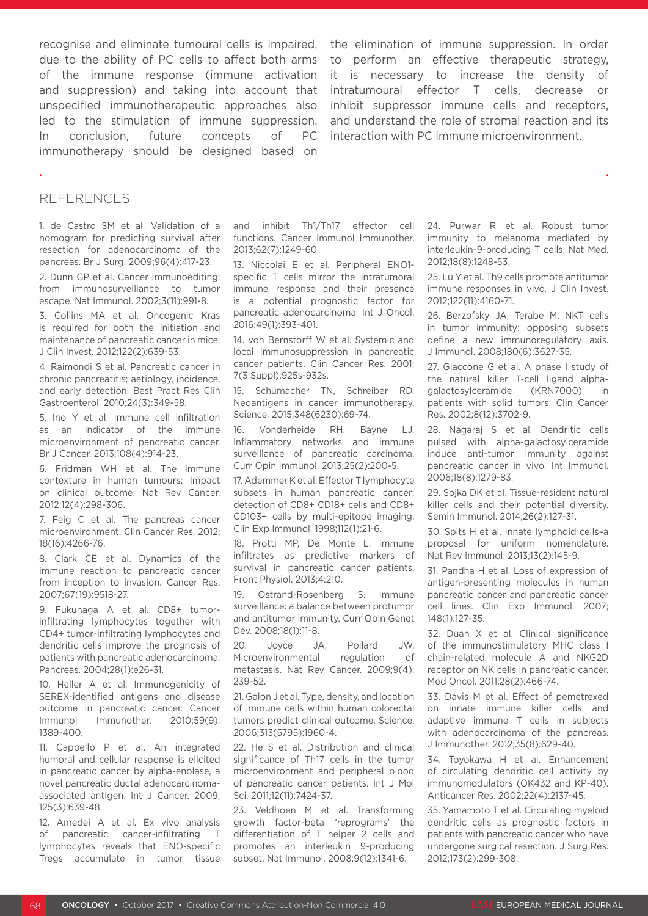recognise and eliminate tumoural cells is impaired, due to the ability of PC cells to affect both arms of the immune response (immune activation and suppression) and taking into account that unspecified immunotherapeutic approaches also led to the stimulation of immune suppression. In conclusion, future concepts of PC immunotherapy should be designed based on

the elimination of immune suppression. In order to perform an effective therapeutic strategy, it is necessary to increase the density of intratumoural effector T cells, decrease or inhibit suppressor immune cells and receptors, and understand the role of stromal reaction and its interaction with PC immune microenvironment.

#### REFERENCES

1. de Castro SM et al. Validation of a nomogram for predicting survival after resection for adenocarcinoma of the pancreas. Br J Surg. 2009;96(4):417-23.

2. Dunn GP et al. Cancer immunoediting: from immunosurveillance to tumor escape. Nat Immunol. 2002;3(11):991-8.

3. Collins MA et al. Oncogenic Kras is required for both the initiation and maintenance of pancreatic cancer in mice. J Clin Invest. 2012;122(2):639-53.

4. Raimondi S et al. Pancreatic cancer in chronic pancreatitis; aetiology, incidence, and early detection. Best Pract Res Clin Gastroenterol. 2010;24(3):349-58.

5. Ino Y et al. Immune cell infiltration as an indicator of the immune microenvironment of pancreatic cancer. Br J Cancer. 2013;108(4):914-23.

6. Fridman WH et al. The immune contexture in human tumours: Impact on clinical outcome. Nat Rev Cancer. 2012;12(4):298-306.

7. Feig C et al. The pancreas cancer microenvironment. Clin Cancer Res. 2012; 18(16):4266-76.

8. Clark CE et al. Dynamics of the immune reaction to pancreatic cancer from inception to invasion. Cancer Res. 2007;67(19):9518-27.

9. Fukunaga A et al. CD8+ tumorinfiltrating lymphocytes together with CD4+ tumor-infiltrating lymphocytes and dendritic cells improve the prognosis of patients with pancreatic adenocarcinoma. Pancreas. 2004;28(1):e26-31.

10. Heller A et al. Immunogenicity of SEREX-identified antigens and disease outcome in pancreatic cancer. Cancer Immunol Immunother. 2010;59(9): 1389-400.

11. Cappello P et al. An integrated humoral and cellular response is elicited in pancreatic cancer by alpha-enolase, a novel pancreatic ductal adenocarcinomaassociated antigen. Int J Cancer. 2009; 125(3):639-48.

12. Amedei A et al. Ex vivo analysis of pancreatic cancer-infiltrating T lymphocytes reveals that ENO-specific Tregs accumulate in tumor tissue and inhibit Th1/Th17 effector cell functions. Cancer Immunol Immunother. 2013;62(7):1249-60.

13. Niccolai E et al. Peripheral ENO1 specific T cells mirror the intratumoral immune response and their presence is a potential prognostic factor for pancreatic adenocarcinoma. Int J Oncol. 2016;49(1):393-401.

14. von Bernstorff W et al. Systemic and local immunosuppression in pancreatic cancer patients. Clin Cancer Res. 2001; 7(3 Suppl):925s-932s.

15. Schumacher TN, Schreiber RD. Neoantigens in cancer immunotherapy. Science. 2015;348(6230):69-74.

16. Vonderheide RH, Bayne LJ. Inflammatory networks and immune surveillance of pancreatic carcinoma. Curr Opin Immunol. 2013;25(2):200-5.

17. Ademmer K et al. Effector T lymphocyte subsets in human pancreatic cancer: detection of CD8+ CD18+ cells and CD8+ CD103+ cells by multi-epitope imaging. Clin Exp Immunol. 1998;112(1):21-6.

18. Protti MP, De Monte L. Immune infiltrates as predictive markers of survival in pancreatic cancer patients. Front Physiol. 2013;4:210.

19. Ostrand-Rosenberg S. Immune surveillance: a balance between protumor and antitumor immunity. Curr Opin Genet Dev. 2008;18(1):11-8.

20. Joyce JA, Pollard JW. Microenvironmental regulation of metastasis. Nat Rev Cancer. 2009;9(4): 239-52.

21. Galon J et al. Type, density, and location of immune cells within human colorectal tumors predict clinical outcome. Science. 2006;313(5795):1960-4.

22. He S et al. Distribution and clinical significance of Th17 cells in the tumor microenvironment and peripheral blood of pancreatic cancer patients. Int J Mol Sci. 2011;12(11):7424-37.

23. Veldhoen M et al. Transforming growth factor-beta 'reprograms' the differentiation of T helper 2 cells and promotes an interleukin 9-producing subset. Nat Immunol. 2008;9(12):1341-6.

24. Purwar R et al. Robust tumor immunity to melanoma mediated by interleukin-9-producing T cells. Nat Med. 2012;18(8):1248-53.

25. Lu Y et al. Th9 cells promote antitumor immune responses in vivo. J Clin Invest. 2012;122(11):4160-71.

26. Berzofsky JA, Terabe M. NKT cells in tumor immunity: opposing subsets define a new immunoregulatory axis. J Immunol. 2008;180(6):3627-35.

27. Giaccone G et al. A phase I study of the natural killer T-cell ligand alphagalactosylceramide (KRN7000) in patients with solid tumors. Clin Cancer Res. 2002;8(12):3702-9.

28. Nagaraj S et al. Dendritic cells pulsed with alpha-galactosylceramide induce anti-tumor immunity against pancreatic cancer in vivo. Int Immunol. 2006;18(8):1279-83.

29. Sojka DK et al. Tissue-resident natural killer cells and their potential diversity. Semin Immunol. 2014;26(2):127-31.

30. Spits H et al. Innate lymphoid cells–a proposal for uniform nomenclature. Nat Rev Immunol. 2013;13(2):145-9.

31. Pandha H et al. Loss of expression of antigen-presenting molecules in human pancreatic cancer and pancreatic cancer cell lines. Clin Exp Immunol. 2007; 148(1):127-35.

32. Duan X et al. Clinical significance of the immunostimulatory MHC class I chain-related molecule A and NKG2D receptor on NK cells in pancreatic cancer. Med Oncol. 2011;28(2):466-74.

33. Davis M et al. Effect of pemetrexed on innate immune killer cells and adaptive immune T cells in subjects with adenocarcinoma of the pancreas. J Immunother. 2012;35(8):629-40.

34. Toyokawa H et al. Enhancement of circulating dendritic cell activity by immunomodulators (OK432 and KP-40). Anticancer Res. 2002;22(4):2137-45.

35. Yamamoto T et al. Circulating myeloid dendritic cells as prognostic factors in patients with pancreatic cancer who have undergone surgical resection. J Surg Res. 2012;173(2):299-308.